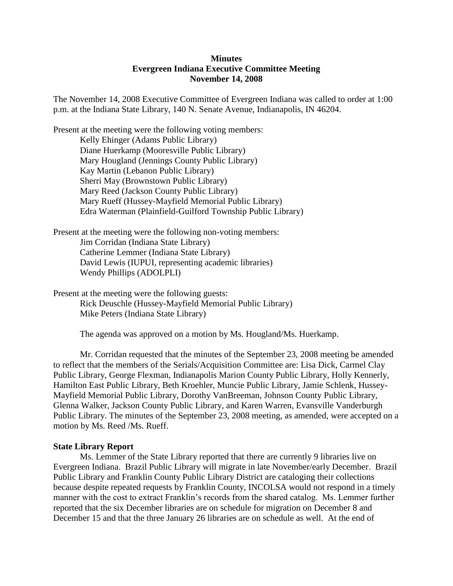# **Minutes Evergreen Indiana Executive Committee Meeting November 14, 2008**

The November 14, 2008 Executive Committee of Evergreen Indiana was called to order at 1:00 p.m. at the Indiana State Library, 140 N. Senate Avenue, Indianapolis, IN 46204.

Present at the meeting were the following voting members: Kelly Ehinger (Adams Public Library) Diane Huerkamp (Mooresville Public Library) Mary Hougland (Jennings County Public Library) Kay Martin (Lebanon Public Library) Sherri May (Brownstown Public Library) Mary Reed (Jackson County Public Library) Mary Rueff (Hussey-Mayfield Memorial Public Library) Edra Waterman (Plainfield-Guilford Township Public Library)

Present at the meeting were the following non-voting members: Jim Corridan (Indiana State Library) Catherine Lemmer (Indiana State Library) David Lewis (IUPUI, representing academic libraries) Wendy Phillips (ADOLPLI)

Present at the meeting were the following guests: Rick Deuschle (Hussey-Mayfield Memorial Public Library) Mike Peters (Indiana State Library)

The agenda was approved on a motion by Ms. Hougland/Ms. Huerkamp.

Mr. Corridan requested that the minutes of the September 23, 2008 meeting be amended to reflect that the members of the Serials/Acquisition Committee are: Lisa Dick, Carmel Clay Public Library, George Flexman, Indianapolis Marion County Public Library, Holly Kennerly, Hamilton East Public Library, Beth Kroehler, Muncie Public Library, Jamie Schlenk, Hussey-Mayfield Memorial Public Library, Dorothy VanBreeman, Johnson County Public Library, Glenna Walker, Jackson County Public Library, and Karen Warren, Evansville Vanderburgh Public Library. The minutes of the September 23, 2008 meeting, as amended, were accepted on a motion by Ms. Reed /Ms. Rueff.

## **State Library Report**

Ms. Lemmer of the State Library reported that there are currently 9 libraries live on Evergreen Indiana. Brazil Public Library will migrate in late November/early December. Brazil Public Library and Franklin County Public Library District are cataloging their collections because despite repeated requests by Franklin County, INCOLSA would not respond in a timely manner with the cost to extract Franklin's records from the shared catalog. Ms. Lemmer further reported that the six December libraries are on schedule for migration on December 8 and December 15 and that the three January 26 libraries are on schedule as well. At the end of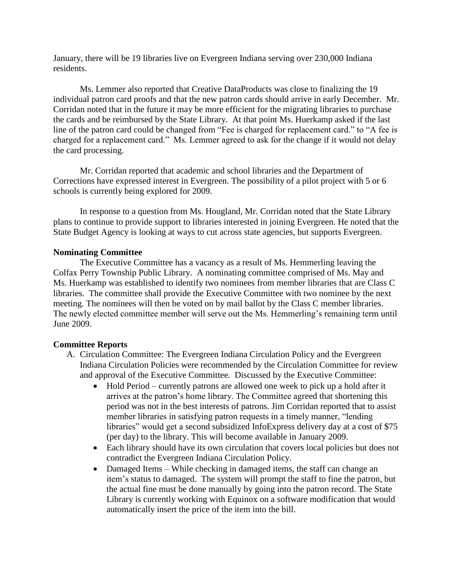January, there will be 19 libraries live on Evergreen Indiana serving over 230,000 Indiana residents.

Ms. Lemmer also reported that Creative DataProducts was close to finalizing the 19 individual patron card proofs and that the new patron cards should arrive in early December. Mr. Corridan noted that in the future it may be more efficient for the migrating libraries to purchase the cards and be reimbursed by the State Library. At that point Ms. Huerkamp asked if the last line of the patron card could be changed from "Fee is charged for replacement card." to "A fee is charged for a replacement card." Ms. Lemmer agreed to ask for the change if it would not delay the card processing.

Mr. Corridan reported that academic and school libraries and the Department of Corrections have expressed interest in Evergreen. The possibility of a pilot project with 5 or 6 schools is currently being explored for 2009.

In response to a question from Ms. Hougland, Mr. Corridan noted that the State Library plans to continue to provide support to libraries interested in joining Evergreen. He noted that the State Budget Agency is looking at ways to cut across state agencies, but supports Evergreen.

## **Nominating Committee**

The Executive Committee has a vacancy as a result of Ms. Hemmerling leaving the Colfax Perry Township Public Library. A nominating committee comprised of Ms. May and Ms. Huerkamp was established to identify two nominees from member libraries that are Class C libraries. The committee shall provide the Executive Committee with two nominee by the next meeting. The nominees will then be voted on by mail ballot by the Class C member libraries. The newly elected committee member will serve out the Ms. Hemmerling's remaining term until June 2009.

## **Committee Reports**

- A. Circulation Committee: The Evergreen Indiana Circulation Policy and the Evergreen Indiana Circulation Policies were recommended by the Circulation Committee for review and approval of the Executive Committee. Discussed by the Executive Committee:
	- Hold Period currently patrons are allowed one week to pick up a hold after it arrives at the patron's home library. The Committee agreed that shortening this period was not in the best interests of patrons. Jim Corridan reported that to assist member libraries in satisfying patron requests in a timely manner, "lending libraries" would get a second subsidized InfoExpress delivery day at a cost of \$75 (per day) to the library. This will become available in January 2009.
	- Each library should have its own circulation that covers local policies but does not contradict the Evergreen Indiana Circulation Policy.
	- Damaged Items While checking in damaged items, the staff can change an item's status to damaged. The system will prompt the staff to fine the patron, but the actual fine must be done manually by going into the patron record. The State Library is currently working with Equinox on a software modification that would automatically insert the price of the item into the bill.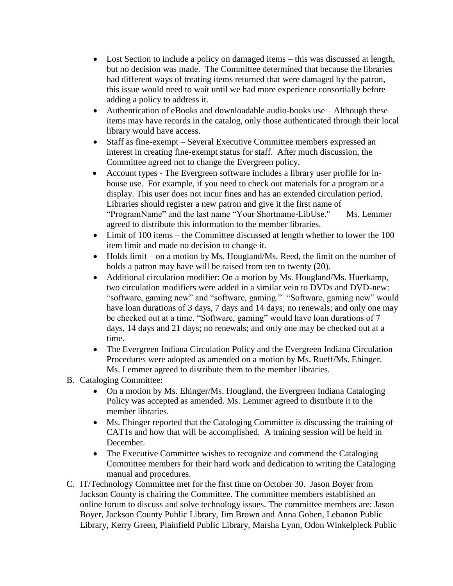- Lost Section to include a policy on damaged items this was discussed at length, but no decision was made. The Committee determined that because the libraries had different ways of treating items returned that were damaged by the patron, this issue would need to wait until we had more experience consortially before adding a policy to address it.
- Authentication of eBooks and downloadable audio-books use Although these items may have records in the catalog, only those authenticated through their local library would have access.
- Staff as fine-exempt Several Executive Committee members expressed an interest in creating fine-exempt status for staff. After much discussion, the Committee agreed not to change the Evergreen policy.
- Account types The Evergreen software includes a library user profile for inhouse use. For example, if you need to check out materials for a program or a display. This user does not incur fines and has an extended circulation period. Libraries should register a new patron and give it the first name of "ProgramName" and the last name "Your Shortname-LibUse." Ms. Lemmer agreed to distribute this information to the member libraries.
- Limit of 100 items the Committee discussed at length whether to lower the 100 item limit and made no decision to change it.
- Holds limit on a motion by Ms. Hougland/Ms. Reed, the limit on the number of holds a patron may have will be raised from ten to twenty (20).
- Additional circulation modifier: On a motion by Ms. Hougland/Ms. Huerkamp, two circulation modifiers were added in a similar vein to DVDs and DVD-new: "software, gaming new" and "software, gaming." "Software, gaming new" would have loan durations of 3 days, 7 days and 14 days; no renewals; and only one may be checked out at a time. "Software, gaming" would have loan durations of 7 days, 14 days and 21 days; no renewals; and only one may be checked out at a time.
- The Evergreen Indiana Circulation Policy and the Evergreen Indiana Circulation Procedures were adopted as amended on a motion by Ms. Rueff/Ms. Ehinger. Ms. Lemmer agreed to distribute them to the member libraries.
- B. Cataloging Committee:
	- On a motion by Ms. Ehinger/Ms. Hougland, the Evergreen Indiana Cataloging Policy was accepted as amended. Ms. Lemmer agreed to distribute it to the member libraries.
	- Ms. Ehinger reported that the Cataloging Committee is discussing the training of CAT1s and how that will be accomplished. A training session will be held in December.
	- The Executive Committee wishes to recognize and commend the Cataloging Committee members for their hard work and dedication to writing the Cataloging manual and procedures.
- C. IT/Technology Committee met for the first time on October 30. Jason Boyer from Jackson County is chairing the Committee. The committee members established an online forum to discuss and solve technology issues. The committee members are: Jason Boyer, Jackson County Public Library, Jim Brown and Anna Goben, Lebanon Public Library, Kerry Green, Plainfield Public Library, Marsha Lynn, Odon Winkelpleck Public